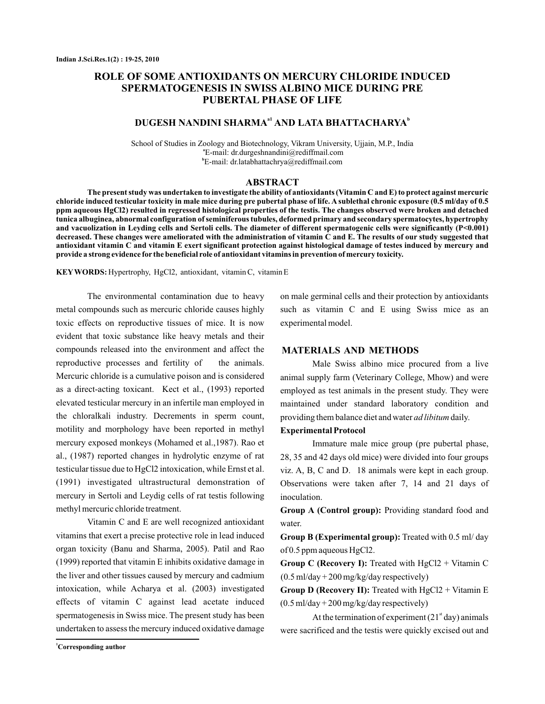# **ROLE OF SOME ANTIOXIDANTS ON MERCURY CHLORIDE INDUCED SPERMATOGENESIS IN SWISS ALBINO MICE DURING PRE PUBERTAL PHASE OF LIFE**

# $\mathbf{DUGESH}$  NANDINI SHARMA $^{\mathrm{a1}}$  AND LATA BHATTACHARYA $^{\mathrm{b}}$

School of Studies in Zoology and Biotechnology, Vikram University, Ujjain, M.P., India E-mail: dr.durgeshnandini@rediffmail.com **a** E-mail: dr.latabhattachrya@rediffmail.com **b**

### **ABSTRACT**

**The present study was undertaken to investigate the ability of antioxidants (Vitamin C and E) to protect against mercuric chloride induced testicular toxicity in male mice during pre pubertal phase of life. A sublethal chronic exposure (0.5 ml/day of 0.5 ppm aqueous HgCl2) resulted in regressed histological properties of the testis. The changes observed were broken and detached tunica albuginea, abnormal configuration of seminiferous tubules, deformed primary and secondary spermatocytes, hypertrophy and vacuolization in Leyding cells and Sertoli cells. The diameter of different spermatogenic cells were significantly (P<0.001) decreased. These changes were ameliorated with the administration of vitamin C and E. The results of our study suggested that antioxidant vitamin C and vitamin E exert significant protection against histological damage of testes induced by mercury and provide a strong evidence for the beneficial role of antioxidant vitamins in prevention of mercury toxicity.**

KEY WORDS: Hypertrophy, HgCl2, antioxidant, vitamin C, vitamin E

The environmental contamination due to heavy metal compounds such as mercuric chloride causes highly toxic effects on reproductive tissues of mice. It is now evident that toxic substance like heavy metals and their compounds released into the environment and affect the reproductive processes and fertility of the animals. Mercuric chloride is a cumulative poison and is considered as a direct-acting toxicant. Kect et al., (1993) reported elevated testicular mercury in an infertile man employed in the chloralkali industry. Decrements in sperm count, motility and morphology have been reported in methyl mercury exposed monkeys (Mohamed et al., 1987). Rao et al., (1987) reported changes in hydrolytic enzyme of rat testicular tissue due to HgCl2 intoxication, while Ernst et al. (1991) investigated ultrastructural demonstration of mercury in Sertoli and Leydig cells of rat testis following methyl mercuric chloride treatment.

Vitamin C and E are well recognized antioxidant vitamins that exert a precise protective role in lead induced organ toxicity (Banu and Sharma, 2005). Patil and Rao (1999) reported that vitamin E inhibits oxidative damage in the liver and other tissues caused by mercury and cadmium intoxication, while Acharya et al. (2003) investigated effects of vitamin C against lead acetate induced spermatogenesis in Swiss mice. The present study has been undertaken to assess the mercury induced oxidative damage on male germinal cells and their protection by antioxidants such as vitamin C and E using Swiss mice as an experimental model.

### **MATERIALS AND METHODS**

Male Swiss albino mice procured from a live animal supply farm (Veterinary College, Mhow) and were employed as test animals in the present study. They were maintained under standard laboratory condition and providing them balance diet and water *ad libitum* daily.

# **Experimental Protocol**

Immature male mice group (pre pubertal phase, 28, 35 and 42 days old mice) were divided into four groups viz. A, B, C and D. 18 animals were kept in each group. Observations were taken after 7, 14 and 21 days of inoculation.

Group A (Control group): Providing standard food and water.

Group B (Experimental group): Treated with 0.5 ml/ day of 0.5 ppm aqueous HgCl2.

**Group C (Recovery I):** Treated with HgCl2 + Vitamin C (0.5 ml/day + 200 mg/kg/day respectively)

**Group D (Recovery II):** Treated with HgCl2 + Vitamin E (0.5 ml/day + 200 mg/kg/day respectively)

At the termination of experiment  $(21<sup>st</sup> \, \text{day})$  animals were sacrificed and the testis were quickly excised out and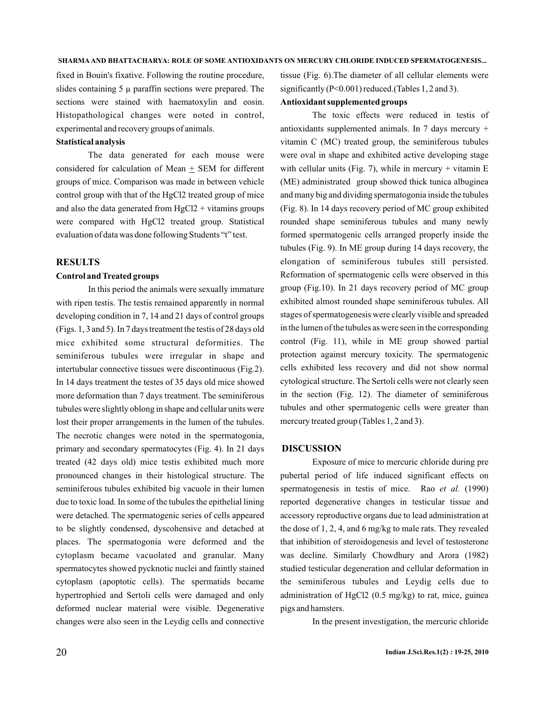fixed in Bouin's fixative. Following the routine procedure, slides containing  $5 \mu$  paraffin sections were prepared. The sections were stained with haematoxylin and eosin. Histopathological changes were noted in control, experimental and recovery groups of animals.

# **Statistical analysis**

The data generated for each mouse were considered for calculation of Mean  $+$  SEM for different groups of mice. Comparison was made in between vehicle control group with that of the HgCl2 treated group of mice and also the data generated from  $HgCl2 + vitamins$  groups were compared with HgCl2 treated group. Statistical evaluation of data was done following Students "t" test.

#### **RESULTS**

### **Control and Treated groups**

In this period the animals were sexually immature with ripen testis. The testis remained apparently in normal developing condition in 7, 14 and 21 days of control groups (Figs. 1, 3 and 5). In 7 days treatment the testis of 28 days old mice exhibited some structural deformities. The seminiferous tubules were irregular in shape and intertubular connective tissues were discontinuous (Fig.2). In 14 days treatment the testes of 35 days old mice showed more deformation than 7 days treatment. The seminiferous tubules were slightly oblong in shape and cellular units were lost their proper arrangements in the lumen of the tubules. The necrotic changes were noted in the spermatogonia, primary and secondary spermatocytes (Fig. 4). In 21 days treated (42 days old) mice testis exhibited much more pronounced changes in their histological structure. The seminiferous tubules exhibited big vacuole in their lumen due to toxic load. In some of the tubules the epithelial lining were detached. The spermatogenic series of cells appeared to be slightly condensed, dyscohensive and detached at places. The spermatogonia were deformed and the cytoplasm became vacuolated and granular. Many spermatocytes showed pycknotic nuclei and faintly stained cytoplasm (apoptotic cells). The spermatids became hypertrophied and Sertoli cells were damaged and only deformed nuclear material were visible. Degenerative changes were also seen in the Leydig cells and connective

tissue (Fig. 6).The diameter of all cellular elements were significantly (P<0.001) reduced.(Tables 1, 2 and 3).

# **Antioxidant supplemented groups**

The toxic effects were reduced in testis of antioxidants supplemented animals. In 7 days mercury + vitamin C (MC) treated group, the seminiferous tubules were oval in shape and exhibited active developing stage with cellular units (Fig. 7), while in mercury  $+$  vitamin E (ME) administrated group showed thick tunica albuginea and many big and dividing spermatogonia inside the tubules (Fig. 8). In 14 days recovery period of MC group exhibited rounded shape seminiferous tubules and many newly formed spermatogenic cells arranged properly inside the tubules (Fig. 9). In ME group during 14 days recovery, the elongation of seminiferous tubules still persisted. Reformation of spermatogenic cells were observed in this group (Fig.10). In 21 days recovery period of MC group exhibited almost rounded shape seminiferous tubules. All stages of spermatogenesis were clearly visible and spreaded in the lumen of the tubules as were seen in the corresponding control (Fig. 11), while in ME group showed partial protection against mercury toxicity. The spermatogenic cells exhibited less recovery and did not show normal cytological structure. The Sertoli cells were not clearly seen in the section (Fig. 12). The diameter of seminiferous tubules and other spermatogenic cells were greater than mercury treated group (Tables 1, 2 and 3).

#### **DISCUSSION**

Exposure of mice to mercuric chloride during pre pubertal period of life induced significant effects on spermatogenesis in testis of mice. Rao et al. (1990) reported degenerative changes in testicular tissue and accessory reproductive organs due to lead administration at the dose of 1, 2, 4, and 6 mg/kg to male rats. They revealed that inhibition of steroidogenesis and level of testosterone was decline. Similarly Chowdhury and Arora (1982) studied testicular degeneration and cellular deformation in the seminiferous tubules and Leydig cells due to administration of HgCl2 (0.5 mg/kg) to rat, mice, guinea pigs and hamsters.

In the present investigation, the mercuric chloride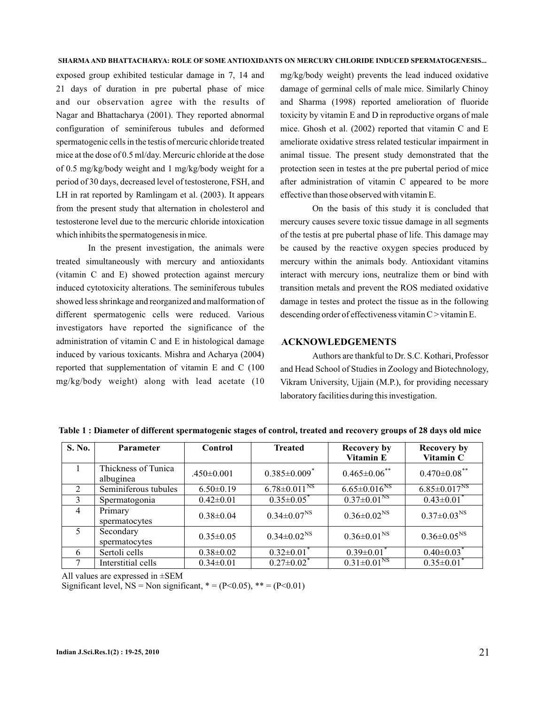exposed group exhibited testicular damage in 7, 14 and 21 days of duration in pre pubertal phase of mice and our observation agree with the results of Nagar and Bhattacharya (2001). They reported abnormal configuration of seminiferous tubules and deformed spermatogenic cells in the testis of mercuric chloride treated mice at the dose of 0.5 ml/day. Mercuric chloride at the dose of 0.5 mg/kg/body weight and 1 mg/kg/body weight for a period of 30 days, decreased level of testosterone, FSH, and LH in rat reported by Ramlingam et al. (2003). It appears from the present study that alternation in cholesterol and testosterone level due to the mercuric chloride intoxication which inhibits the spermatogenesis in mice.

In the present investigation, the animals were treated simultaneously with mercury and antioxidants (vitamin C and E) showed protection against mercury induced cytotoxicity alterations. The seminiferous tubules showed less shrinkage and reorganized and malformation of different spermatogenic cells were reduced. Various investigators have reported the significance of the administration of vitamin C and E in histological damage induced by various toxicants. Mishra and Acharya (2004) reported that supplementation of vitamin E and C (100 mg/kg/body weight) along with lead acetate (10

mg/kg/body weight) prevents the lead induced oxidative damage of germinal cells of male mice. Similarly Chinoy and Sharma (1998) reported amelioration of fluoride toxicity by vitamin E and D in reproductive organs of male mice. Ghosh et al. (2002) reported that vitamin C and E ameliorate oxidative stress related testicular impairment in animal tissue. The present study demonstrated that the protection seen in testes at the pre pubertal period of mice after administration of vitamin C appeared to be more effective than those observed with vitamin E.

On the basis of this study it is concluded that mercury causes severe toxic tissue damage in all segments of the testis at pre pubertal phase of life. This damage may be caused by the reactive oxygen species produced by mercury within the animals body. Antioxidant vitamins interact with mercury ions, neutralize them or bind with transition metals and prevent the ROS mediated oxidative damage in testes and protect the tissue as in the following descending order of effectiveness vitamin C > vitamin E.

## **ACKNOWLEDGEMENTS**

Authors are thankful to Dr. S.C. Kothari, Professor and Head School of Studies in Zoology and Biotechnology, Vikram University, Ujjain (M.P.), for providing necessary laboratory facilities during this investigation.

| S. No.         | <b>Parameter</b>                 | <b>Control</b>   | <b>Treated</b>                 | <b>Recovery by</b><br><b>Vitamin E</b> | <b>Recovery by</b><br>Vitamin C |
|----------------|----------------------------------|------------------|--------------------------------|----------------------------------------|---------------------------------|
|                | Thickness of Tunica<br>albuginea | $.450 \pm 0.001$ | $0.385 \pm 0.009$ <sup>*</sup> | $0.465 \pm 0.06$ **                    | $0.470 \pm 0.08$ **             |
| 2              | Seminiferous tubules             | $6.50\pm0.19$    | $6.78 \pm 0.011$ <sup>NS</sup> | $6.65 \pm 0.016$ <sup>NS</sup>         | $6.85 \pm 0.017^{NS}$           |
| 3              | Spermatogonia                    | $0.42 \pm 0.01$  | $0.35 \pm 0.05$                | $0.37 \pm 0.01$ <sup>NS</sup>          | $0.43 \pm 0.01$                 |
| $\overline{4}$ | Primary<br>spermatocytes         | $0.38 \pm 0.04$  | $0.34 \pm 0.07^{\rm NS}$       | $0.36 \pm 0.02^{\text{NS}}$            | $0.37 \pm 0.03^{NS}$            |
| 5              | Secondary<br>spermatocytes       | $0.35 \pm 0.05$  | $0.34 \pm 0.02^{\rm NS}$       | $0.36 \pm 0.01^{\text{NS}}$            | $0.36 \pm 0.05^{\rm NS}$        |
| 6              | Sertoli cells                    | $0.38 \pm 0.02$  | $0.32 \pm 0.01$ <sup>*</sup>   | $0.39 \pm 0.01$ <sup>*</sup>           | $0.40 \pm 0.03$ <sup>*</sup>    |
|                | Interstitial cells               | $0.34 \pm 0.01$  | $0.27 \pm 0.02$ <sup>*</sup>   | $0.31 \pm 0.01^{\text{NS}}$            | $0.35 \pm 0.01^*$               |

**Table 1 : Diameter of different spermatogenic stages of control, treated and recovery groups of 28 days old mice**

All values are expressed in ±SEM

Significant level,  $NS = Non significant, * = (P<0.05), ** = (P<0.01)$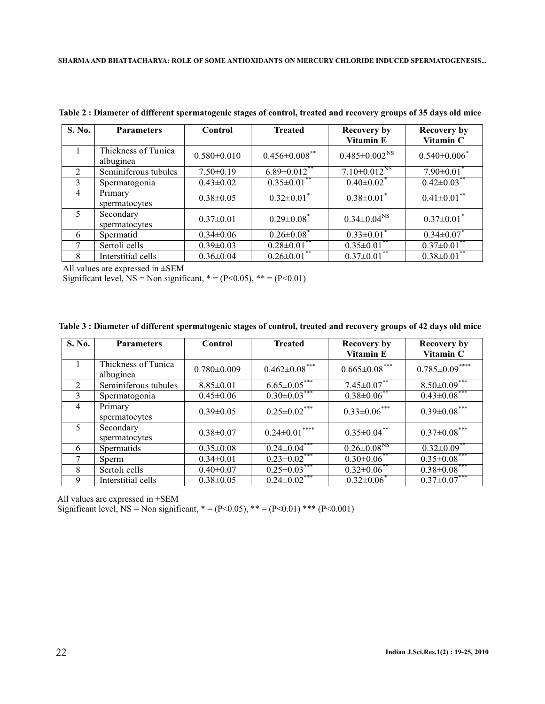| S. No.         | <b>Parameters</b>                | Control           | <b>Treated</b>               | <b>Recovery by</b><br>Vitamin E | <b>Recovery by</b><br>Vitamin C |
|----------------|----------------------------------|-------------------|------------------------------|---------------------------------|---------------------------------|
|                | Thickness of Tunica<br>albuginea | $0.580 \pm 0.010$ | $0.456 \pm 0.008$ **         | $0.485 \pm 0.002^{\text{NS}}$   | $0.540 \pm 0.006$ <sup>*</sup>  |
| 2              | Seminiferous tubules             | $7.50 \pm 0.19$   | $6.89 \pm 0.012$ **          | $7.10 \pm 0.012$ <sup>NS</sup>  | $7.90 \pm 0.01$                 |
| $\mathcal{E}$  | Spermatogonia                    | $0.43 \pm 0.02$   | $0.35 \pm 0.01$ **           | $0.40{\pm}0.02$ <sup>*</sup>    | $0.42 \pm 0.03$ <sup>**</sup>   |
| $\overline{4}$ | Primary<br>spermatocytes         | $0.38 \pm 0.05$   | $0.32 \pm 0.01$ <sup>*</sup> | $0.38 \pm 0.01$                 | $0.41 \pm 0.01$ **              |
| 5              | Secondary<br>spermatocytes       | $0.37 \pm 0.01$   | $0.29 \pm 0.08$ <sup>*</sup> | $0.34 \pm 0.04$ <sup>NS</sup>   | $0.37 \pm 0.01$ <sup>*</sup>    |
| 6              | Spermatid                        | $0.34 \pm 0.06$   | $0.26 \pm 0.08$              | $0.33 \pm 0.01$                 | $0.34 \pm 0.07$                 |
| 7              | Sertoli cells                    | $0.39 \pm 0.03$   | $0.28 \pm 0.01$              | $0.35 \pm 0.01$                 | $0.37 \pm 0.01$                 |
| 8              | Interstitial cells               | $0.36 \pm 0.04$   | $0.26 \pm 0.01$              | $0.37 \pm 0.01$ **              | $0.38 \pm 0.01$                 |

**Table 2 : Diameter of different spermatogenic stages of control, treated and recovery groups of 35 days old mice**

All values are expressed in ±SEM

Significant level,  $NS = Non significant$ ,  $* = (P<0.05)$ ,  $** = (P<0.01)$ 

|  |  |  |  |  | Table 3 : Diameter of different spermatogenic stages of control, treated and recovery groups of 42 days old mice |  |  |
|--|--|--|--|--|------------------------------------------------------------------------------------------------------------------|--|--|
|--|--|--|--|--|------------------------------------------------------------------------------------------------------------------|--|--|

| S. No.         | <b>Parameters</b>                | Control           | <b>Treated</b>       | <b>Recovery by</b><br>Vitamin E | <b>Recovery by</b><br>Vitamin C |
|----------------|----------------------------------|-------------------|----------------------|---------------------------------|---------------------------------|
|                | Thickness of Tunica<br>albuginea | $0.780 \pm 0.009$ | $0.462 \pm 0.08$ *** | $0.665 \pm 0.08$ ***            | $0.785 \pm 0.09$ ****           |
| $\mathfrak{D}$ | Seminiferous tubules             | $8.85 \pm 0.01$   | $6.65 \pm 0.05$ ***  | $7.45 \pm 0.07$ **              | $8.50 \pm 0.09$ <sup>*</sup>    |
| 3              | Spermatogonia                    | $0.45 \pm 0.06$   | $0.30\pm0.03$ ***    | $0.38 \pm 0.06$ **              | $0.43 \overline{\pm 0.08}$ ***  |
| $\overline{4}$ | Primary<br>spermatocytes         | $0.39 \pm 0.05$   | $0.25 \pm 0.02$ ***  | $0.33 \pm 0.06$ ***             | $0.39 \pm 0.08$ ***             |
| 5              | Secondary<br>spermatocytes       | $0.38 \pm 0.07$   | $0.24 \pm 0.01$ **** | $0.35 \pm 0.04$ **              | $0.37 \pm 0.08$ ***             |
| 6              | Spermatids                       | $0.35 \pm 0.08$   | $0.24 \pm 0.04***$   | $0.26 \pm 0.08$ <sup>NS</sup>   | $0.32 \pm 0.09$ **              |
| 7              | Sperm                            | $0.34 \pm 0.01$   | $0.23 \pm 0.02$ ***  | $0.30\pm0.06**$                 | $0.35 \pm 0.08$ ***             |
| 8              | Sertoli cells                    | $0.40 \pm 0.07$   | $0.25 \pm 0.03$ ***  | $0.32 \pm 0.06$ **              | $0.38 \pm 0.08$ ***             |
| 9              | Interstitial cells               | $0.38 \pm 0.05$   | $0.24 \pm 0.02$ ***  | $0.32 \pm 0.06^*$               | $0.37 \pm 0.07$ ***             |

All values are expressed in ±SEM

Significant level, NS = Non significant,  $* = (P<0.05)$ ,  $** = (P<0.01)$  \*\*\* (P<0.001)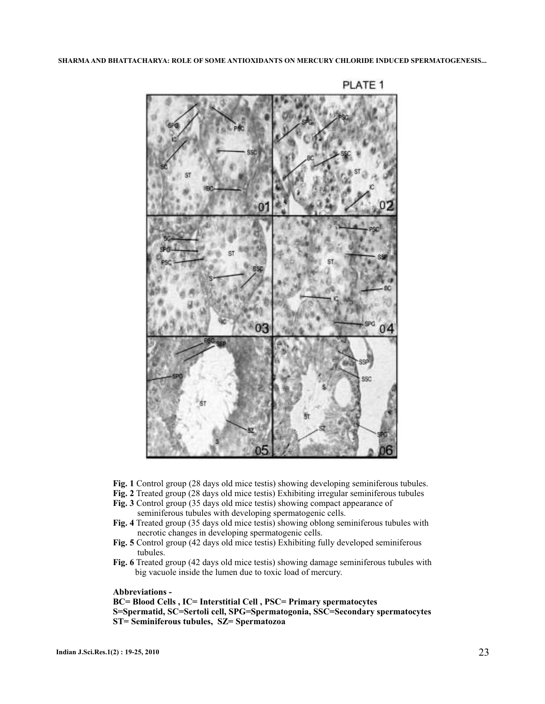

PLATE<sub>1</sub>

- **Fig. 1** Control group (28 days old mice testis) showing developing seminiferous tubules.
- **Fig. 2** Treated group (28 days old mice testis) Exhibiting irregular seminiferous tubules
- **Fig. 3** Control group (35 days old mice testis) showing compact appearance of seminiferous tubules with developing spermatogenic cells.
- **Fig. 4** Treated group (35 days old mice testis) showing oblong seminiferous tubules with necrotic changes in developing spermatogenic cells.
- **Fig. 5** Control group (42 days old mice testis) Exhibiting fully developed seminiferous tubules.
- **Fig. 6** Treated group (42 days old mice testis) showing damage seminiferous tubules with big vacuole inside the lumen due to toxic load of mercury.

**Abbreviations -**

**BC= Blood Cells , IC= Interstitial Cell , PSC= Primary spermatocytes S=Spermatid, SC=Sertoli cell, SPG=Spermatogonia, SSC=Secondary spermatocytes ST= Seminiferous tubules, SZ= Spermatozoa**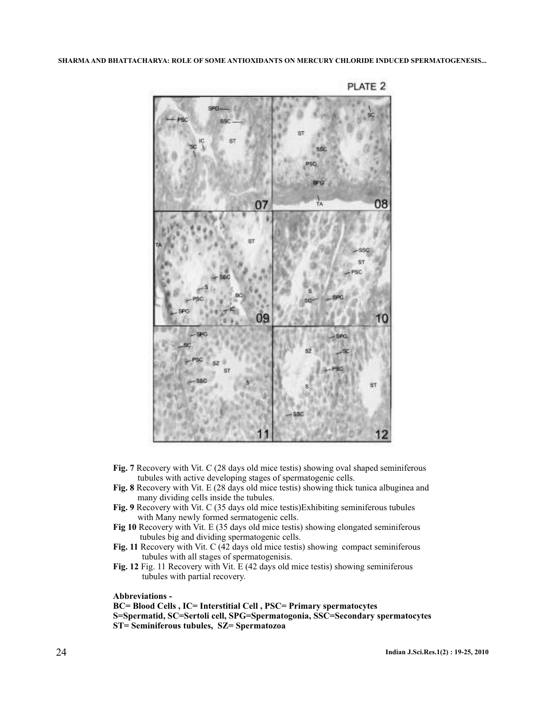

PLATE 2

- **Fig. 7** Recovery with Vit. C (28 days old mice testis) showing oval shaped seminiferous tubules with active developing stages of spermatogenic cells.
- **Fig. 8** Recovery with Vit. E (28 days old mice testis) showing thick tunica albuginea and many dividing cells inside the tubules.
- **Fig. 9** Recovery with Vit. C (35 days old mice testis)Exhibiting seminiferous tubules with Many newly formed sermatogenic cells.
- **Fig 10** Recovery with Vit. E (35 days old mice testis) showing elongated seminiferous tubules big and dividing spermatogenic cells.
- **Fig. 11** Recovery with Vit. C (42 days old mice testis) showing compact seminiferous tubules with all stages of spermatogenisis.
- **Fig. 12** Fig. 11 Recovery with Vit. E (42 days old mice testis) showing seminiferous tubules with partial recovery.

**Abbreviations -**

**BC= Blood Cells , IC= Interstitial Cell , PSC= Primary spermatocytes S=Spermatid, SC=Sertoli cell, SPG=Spermatogonia, SSC=Secondary spermatocytes ST= Seminiferous tubules, SZ= Spermatozoa**